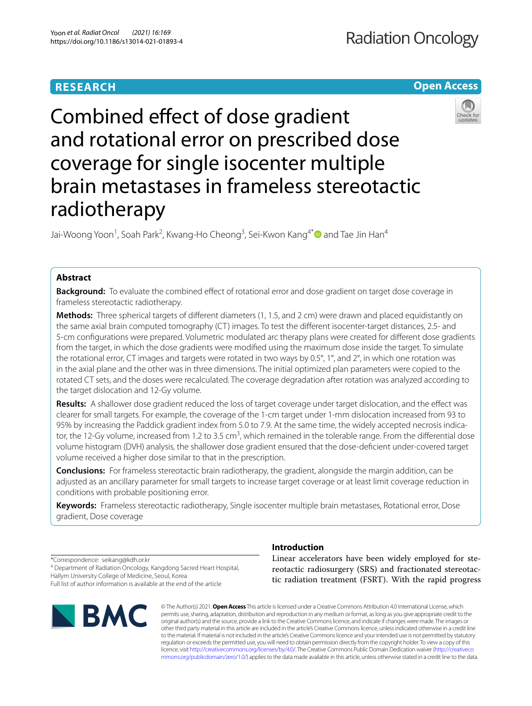# **RESEARCH**

## **Open Access**



Combined efect of dose gradient and rotational error on prescribed dose coverage for single isocenter multiple brain metastases in frameless stereotactic radiotherapy

Jai-Woong Yoon<sup>1</sup>, Soah Park<sup>2</sup>, Kwang-Ho Cheong<sup>3</sup>, Sei-Kwon Kang<sup>4[\\*](http://orcid.org/0000-0003-3867-5372)</sup> @and Tae Jin Han<sup>4</sup>

## **Abstract**

**Background:** To evaluate the combined effect of rotational error and dose gradient on target dose coverage in frameless stereotactic radiotherapy.

**Methods:** Three spherical targets of diferent diameters (1, 1.5, and 2 cm) were drawn and placed equidistantly on the same axial brain computed tomography (CT) images. To test the diferent isocenter-target distances, 2.5- and 5-cm confgurations were prepared. Volumetric modulated arc therapy plans were created for diferent dose gradients from the target, in which the dose gradients were modifed using the maximum dose inside the target. To simulate the rotational error, CT images and targets were rotated in two ways by 0.5°, 1°, and 2°, in which one rotation was in the axial plane and the other was in three dimensions. The initial optimized plan parameters were copied to the rotated CT sets, and the doses were recalculated. The coverage degradation after rotation was analyzed according to the target dislocation and 12-Gy volume.

**Results:** A shallower dose gradient reduced the loss of target coverage under target dislocation, and the efect was clearer for small targets. For example, the coverage of the 1-cm target under 1-mm dislocation increased from 93 to 95% by increasing the Paddick gradient index from 5.0 to 7.9. At the same time, the widely accepted necrosis indicator, the 12-Gy volume, increased from 1.2 to 3.5 cm<sup>3</sup>, which remained in the tolerable range. From the differential dose volume histogram (DVH) analysis, the shallower dose gradient ensured that the dose-defcient under-covered target volume received a higher dose similar to that in the prescription.

**Conclusions:** For frameless stereotactic brain radiotherapy, the gradient, alongside the margin addition, can be adjusted as an ancillary parameter for small targets to increase target coverage or at least limit coverage reduction in conditions with probable positioning error.

**Keywords:** Frameless stereotactic radiotherapy, Single isocenter multiple brain metastases, Rotational error, Dose gradient, Dose coverage

\*Correspondence: seikang@kdh.or.kr

4 Department of Radiation Oncology, Kangdong Sacred Heart Hospital, Hallym University College of Medicine, Seoul, Korea

Full list of author information is available at the end of the article



## **Introduction**

Linear accelerators have been widely employed for stereotactic radiosurgery (SRS) and fractionated stereotactic radiation treatment (FSRT). With the rapid progress

© The Author(s) 2021. **Open Access** This article is licensed under a Creative Commons Attribution 4.0 International License, which permits use, sharing, adaptation, distribution and reproduction in any medium or format, as long as you give appropriate credit to the original author(s) and the source, provide a link to the Creative Commons licence, and indicate if changes were made. The images or other third party material in this article are included in the article's Creative Commons licence, unless indicated otherwise in a credit line to the material. If material is not included in the article's Creative Commons licence and your intended use is not permitted by statutory regulation or exceeds the permitted use, you will need to obtain permission directly from the copyright holder. To view a copy of this licence, visit [http://creativecommons.org/licenses/by/4.0/.](http://creativecommons.org/licenses/by/4.0/) The Creative Commons Public Domain Dedication waiver ([http://creativeco](http://creativecommons.org/publicdomain/zero/1.0/) [mmons.org/publicdomain/zero/1.0/](http://creativecommons.org/publicdomain/zero/1.0/)) applies to the data made available in this article, unless otherwise stated in a credit line to the data.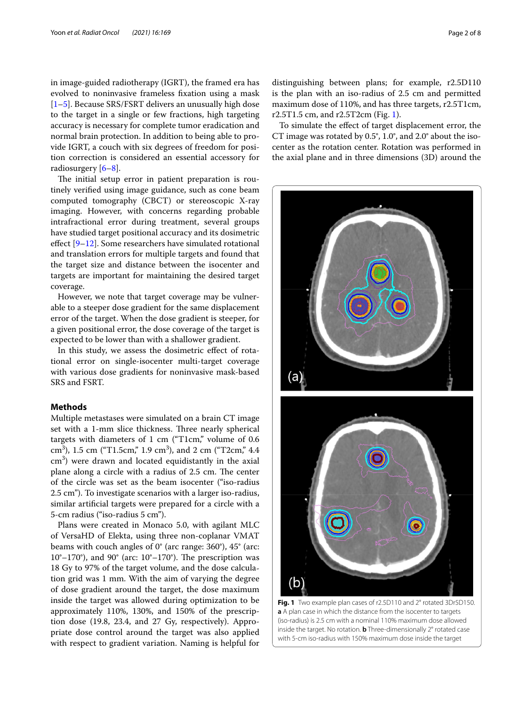in image-guided radiotherapy (IGRT), the framed era has evolved to noninvasive frameless fxation using a mask [[1–](#page-6-0)[5\]](#page-6-1). Because SRS/FSRT delivers an unusually high dose to the target in a single or few fractions, high targeting accuracy is necessary for complete tumor eradication and normal brain protection. In addition to being able to provide IGRT, a couch with six degrees of freedom for position correction is considered an essential accessory for radiosurgery [\[6–](#page-6-2)[8\]](#page-6-3).

The initial setup error in patient preparation is routinely verifed using image guidance, such as cone beam computed tomography (CBCT) or stereoscopic X-ray imaging. However, with concerns regarding probable intrafractional error during treatment, several groups have studied target positional accuracy and its dosimetric effect [[9](#page-7-0)[–12](#page-7-1)]. Some researchers have simulated rotational and translation errors for multiple targets and found that the target size and distance between the isocenter and targets are important for maintaining the desired target coverage.

However, we note that target coverage may be vulnerable to a steeper dose gradient for the same displacement error of the target. When the dose gradient is steeper, for a given positional error, the dose coverage of the target is expected to be lower than with a shallower gradient.

In this study, we assess the dosimetric efect of rotational error on single-isocenter multi-target coverage with various dose gradients for noninvasive mask-based SRS and FSRT.

## **Methods**

Multiple metastases were simulated on a brain CT image set with a 1-mm slice thickness. Three nearly spherical targets with diameters of 1 cm ("T1cm," volume of 0.6 cm<sup>3</sup>), 1.5 cm ("T1.5cm," 1.9 cm<sup>3</sup>), and 2 cm ("T2cm," 4.4  $\text{cm}^3$ ) were drawn and located equidistantly in the axial plane along a circle with a radius of 2.5 cm. The center of the circle was set as the beam isocenter ("iso-radius 2.5 cm"). To investigate scenarios with a larger iso-radius, similar artifcial targets were prepared for a circle with a 5-cm radius ("iso-radius 5 cm").

<span id="page-1-0"></span>Plans were created in Monaco 5.0, with agilant MLC of VersaHD of Elekta, using three non-coplanar VMAT beams with couch angles of 0° (arc range: 360°), 45° (arc:  $10^{\circ}$ –170°), and 90° (arc:  $10^{\circ}$ –170°). The prescription was 18 Gy to 97% of the target volume, and the dose calculation grid was 1 mm. With the aim of varying the degree of dose gradient around the target, the dose maximum inside the target was allowed during optimization to be approximately 110%, 130%, and 150% of the prescription dose (19.8, 23.4, and 27 Gy, respectively). Appropriate dose control around the target was also applied with respect to gradient variation. Naming is helpful for

distinguishing between plans; for example, r2.5D110 is the plan with an iso-radius of 2.5 cm and permitted maximum dose of 110%, and has three targets, r2.5T1cm, r2.5T1.5 cm, and r2.5T2cm (Fig. [1\)](#page-1-0).

To simulate the efect of target displacement error, the CT image was rotated by 0.5°, 1.0°, and 2.0° about the isocenter as the rotation center. Rotation was performed in the axial plane and in three dimensions (3D) around the

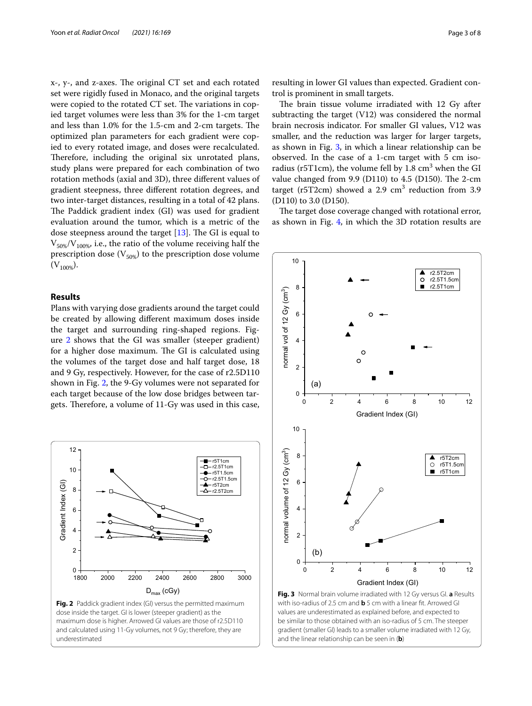x-, y-, and z-axes. The original CT set and each rotated set were rigidly fused in Monaco, and the original targets were copied to the rotated CT set. The variations in copied target volumes were less than 3% for the 1-cm target and less than 1.0% for the 1.5-cm and 2-cm targets. The optimized plan parameters for each gradient were copied to every rotated image, and doses were recalculated. Therefore, including the original six unrotated plans, study plans were prepared for each combination of two rotation methods (axial and 3D), three diferent values of gradient steepness, three diferent rotation degrees, and two inter-target distances, resulting in a total of 42 plans. The Paddick gradient index (GI) was used for gradient evaluation around the tumor, which is a metric of the dose steepness around the target  $[13]$ . The GI is equal to  $V_{50\%}/V_{100\%}$ , i.e., the ratio of the volume receiving half the prescription dose  $(V_{50\%})$  to the prescription dose volume  $(V_{100\%})$ .

## **Results**

Plans with varying dose gradients around the target could be created by allowing diferent maximum doses inside the target and surrounding ring-shaped regions. Figure [2](#page-2-0) shows that the GI was smaller (steeper gradient) for a higher dose maximum. The GI is calculated using the volumes of the target dose and half target dose, 18 and 9 Gy, respectively. However, for the case of r2.5D110 shown in Fig. [2,](#page-2-0) the 9-Gy volumes were not separated for each target because of the low dose bridges between targets. Therefore, a volume of 11-Gy was used in this case,

<span id="page-2-1"></span><span id="page-2-0"></span>

resulting in lower GI values than expected. Gradient control is prominent in small targets.

The brain tissue volume irradiated with 12 Gy after subtracting the target (V12) was considered the normal brain necrosis indicator. For smaller GI values, V12 was smaller, and the reduction was larger for larger targets, as shown in Fig. [3,](#page-2-1) in which a linear relationship can be observed. In the case of a 1-cm target with 5 cm isoradius (r5T1cm), the volume fell by  $1.8 \text{ cm}^3$  when the GI value changed from  $9.9$  (D110) to  $4.5$  (D150). The 2-cm target (r5T2cm) showed a  $2.9 \text{ cm}^3$  reduction from  $3.9$ (D110) to 3.0 (D150).

The target dose coverage changed with rotational error, as shown in Fig. [4,](#page-3-0) in which the 3D rotation results are

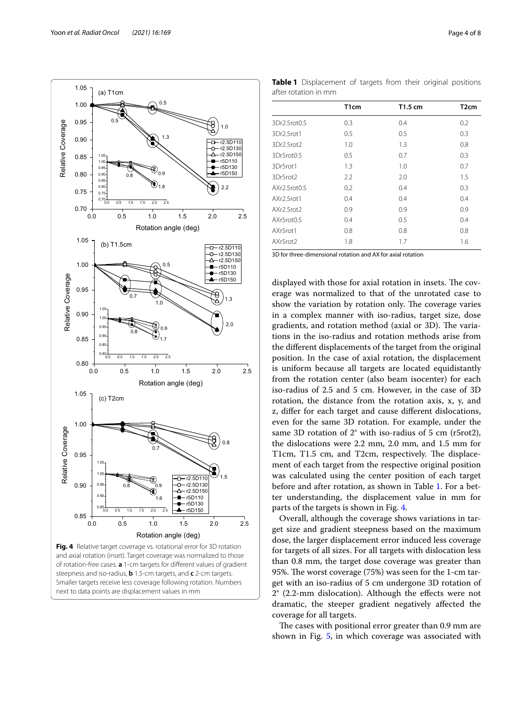<span id="page-3-0"></span>steepness and iso-radius, **b** 1.5-cm targets, and **c** 2-cm targets. Smaller targets receive less coverage following rotation. Numbers next to data points are displacement values in mm

3D for three-dimensional rotation and AX for axial rotation

displayed with those for axial rotation in insets. The coverage was normalized to that of the unrotated case to show the variation by rotation only. The coverage varies in a complex manner with iso-radius, target size, dose gradients, and rotation method (axial or 3D). The variations in the iso-radius and rotation methods arise from the diferent displacements of the target from the original position. In the case of axial rotation, the displacement is uniform because all targets are located equidistantly from the rotation center (also beam isocenter) for each iso-radius of 2.5 and 5 cm. However, in the case of 3D rotation, the distance from the rotation axis, x, y, and z, difer for each target and cause diferent dislocations, even for the same 3D rotation. For example, under the same 3D rotation of 2° with iso-radius of 5 cm (r5rot2), the dislocations were 2.2 mm, 2.0 mm, and 1.5 mm for T1cm, T1.5 cm, and T2cm, respectively. The displacement of each target from the respective original position was calculated using the center position of each target before and after rotation, as shown in Table [1](#page-3-1). For a better understanding, the displacement value in mm for parts of the targets is shown in Fig. [4](#page-3-0).

Overall, although the coverage shows variations in target size and gradient steepness based on the maximum dose, the larger displacement error induced less coverage for targets of all sizes. For all targets with dislocation less than 0.8 mm, the target dose coverage was greater than 95%. The worst coverage (75%) was seen for the 1-cm target with an iso-radius of 5 cm undergone 3D rotation of 2° (2.2-mm dislocation). Although the efects were not dramatic, the steeper gradient negatively afected the coverage for all targets.

The cases with positional error greater than 0.9 mm are shown in Fig. [5](#page-4-0), in which coverage was associated with



<span id="page-3-1"></span>

|                      | T1cm                                                                 |  |  |  | T1.5 cm |  | T <sub>2</sub> cm |
|----------------------|----------------------------------------------------------------------|--|--|--|---------|--|-------------------|
| after rotation in mm |                                                                      |  |  |  |         |  |                   |
|                      | <b>Table 1</b> Displacement of targets from their original positions |  |  |  |         |  |                   |

3Dr2.5rot0.5 0.3 0.4 0.2 3Dr2.5rot1 0.5 0.5 0.3 3Dr2.5rot2 1.0 1.3 0.8 3Dr5rot0.5 0.5 0.7 0.3 3Dr5rot1 1.3 1.0 0.7 3Dr5rot2 2.2 2.0 1.5 AXr2.5rot0.5 0.2 0.4 0.3 AXr2.5rot1 0.4 0.4 0.4 0.4 AXr2.5rot2 0.9 0.9 0.9 AXr5rot0.5 0.4 0.5 0.4 AXr5rot1 0.8 0.8 0.8 AXr5rot2 1.8 1.7 1.6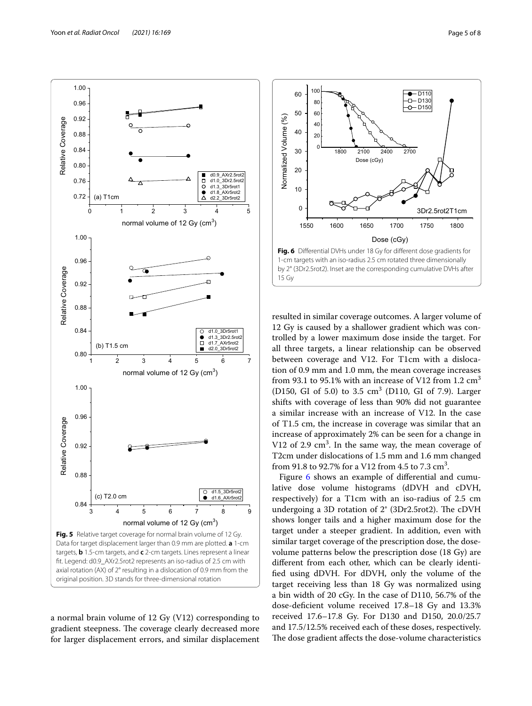

<span id="page-4-0"></span>a normal brain volume of 12 Gy (V12) corresponding to gradient steepness. The coverage clearly decreased more for larger displacement errors, and similar displacement



<span id="page-4-1"></span>15 Gy

resulted in similar coverage outcomes. A larger volume of 12 Gy is caused by a shallower gradient which was controlled by a lower maximum dose inside the target. For all three targets, a linear relationship can be observed between coverage and V12. For T1cm with a dislocation of 0.9 mm and 1.0 mm, the mean coverage increases from 93.1 to 95.1% with an increase of V12 from 1.2  $\text{cm}^3$ (D150, GI of 5.0) to 3.5 cm<sup>3</sup> (D110, GI of 7.9). Larger shifts with coverage of less than 90% did not guarantee a similar increase with an increase of V12. In the case of T1.5 cm, the increase in coverage was similar that an increase of approximately 2% can be seen for a change in V12 of 2.9  $\text{cm}^3$ . In the same way, the mean coverage of T2cm under dislocations of 1.5 mm and 1.6 mm changed from 91.8 to 92.7% for a V12 from 4.5 to 7.3  $\text{cm}^3$ .

Figure [6](#page-4-1) shows an example of differential and cumulative dose volume histograms (dDVH and cDVH, respectively) for a T1cm with an iso-radius of 2.5 cm undergoing a 3D rotation of  $2^{\circ}$  (3Dr2.5rot2). The cDVH shows longer tails and a higher maximum dose for the target under a steeper gradient. In addition, even with similar target coverage of the prescription dose, the dosevolume patterns below the prescription dose (18 Gy) are diferent from each other, which can be clearly identifed using dDVH. For dDVH, only the volume of the target receiving less than 18 Gy was normalized using a bin width of 20 cGy. In the case of D110, 56.7% of the dose-deficient volume received 17.8-18 Gy and 13.3% received 17.6–17.8 Gy. For D130 and D150, 20.0/25.7 and 17.5/12.5% received each of these doses, respectively. The dose gradient affects the dose-volume characteristics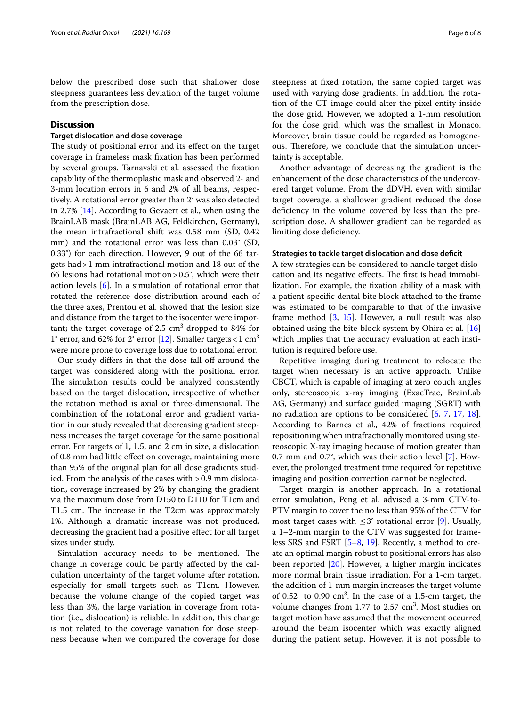below the prescribed dose such that shallower dose steepness guarantees less deviation of the target volume from the prescription dose.

## **Discussion**

## **Target dislocation and dose coverage**

The study of positional error and its effect on the target coverage in frameless mask fxation has been performed by several groups. Tarnavski et al. assessed the fxation capability of the thermoplastic mask and observed 2- and 3-mm location errors in 6 and 2% of all beams, respectively. A rotational error greater than 2° was also detected in 2.7% [[14](#page-7-3)]. According to Gevaert et al., when using the BrainLAB mask (BrainLAB AG, Feldkirchen, Germany), the mean intrafractional shift was 0.58 mm (SD, 0.42 mm) and the rotational error was less than 0.03° (SD, 0.33°) for each direction. However, 9 out of the 66 targets had>1 mm intrafractional motion and 18 out of the 66 lesions had rotational motion  $> 0.5^{\circ}$ , which were their action levels [[6\]](#page-6-2). In a simulation of rotational error that rotated the reference dose distribution around each of the three axes, Prentou et al. showed that the lesion size and distance from the target to the isocenter were important; the target coverage of 2.5  $\text{cm}^3$  dropped to 84% for 1° error, and 62% for 2° error [[12\]](#page-7-1). Smaller targets < 1 cm<sup>3</sup> were more prone to coverage loss due to rotational error.

Our study differs in that the dose fall-off around the target was considered along with the positional error. The simulation results could be analyzed consistently based on the target dislocation, irrespective of whether the rotation method is axial or three-dimensional. The combination of the rotational error and gradient variation in our study revealed that decreasing gradient steepness increases the target coverage for the same positional error. For targets of 1, 1.5, and 2 cm in size, a dislocation of 0.8 mm had little efect on coverage, maintaining more than 95% of the original plan for all dose gradients studied. From the analysis of the cases with >0.9 mm dislocation, coverage increased by 2% by changing the gradient via the maximum dose from D150 to D110 for T1cm and T1.5 cm. The increase in the T2cm was approximately 1%. Although a dramatic increase was not produced, decreasing the gradient had a positive efect for all target sizes under study.

Simulation accuracy needs to be mentioned. The change in coverage could be partly afected by the calculation uncertainty of the target volume after rotation, especially for small targets such as T1cm. However, because the volume change of the copied target was less than 3%, the large variation in coverage from rotation (i.e., dislocation) is reliable. In addition, this change is not related to the coverage variation for dose steepness because when we compared the coverage for dose steepness at fxed rotation, the same copied target was used with varying dose gradients. In addition, the rotation of the CT image could alter the pixel entity inside the dose grid. However, we adopted a 1-mm resolution for the dose grid, which was the smallest in Monaco. Moreover, brain tissue could be regarded as homogeneous. Therefore, we conclude that the simulation uncertainty is acceptable.

Another advantage of decreasing the gradient is the enhancement of the dose characteristics of the undercovered target volume. From the dDVH, even with similar target coverage, a shallower gradient reduced the dose defciency in the volume covered by less than the prescription dose. A shallower gradient can be regarded as limiting dose deficiency.

### **Strategies to tackle target dislocation and dose defcit**

A few strategies can be considered to handle target dislocation and its negative effects. The first is head immobilization. For example, the fxation ability of a mask with a patient-specifc dental bite block attached to the frame was estimated to be comparable to that of the invasive frame method [\[3](#page-6-4), [15\]](#page-7-4). However, a null result was also obtained using the bite-block system by Ohira et al. [[16](#page-7-5)] which implies that the accuracy evaluation at each institution is required before use.

Repetitive imaging during treatment to relocate the target when necessary is an active approach. Unlike CBCT, which is capable of imaging at zero couch angles only, stereoscopic x-ray imaging (ExacTrac, BrainLab AG, Germany) and surface guided imaging (SGRT) with no radiation are options to be considered [\[6](#page-6-2), [7,](#page-6-5) [17,](#page-7-6) [18](#page-7-7)]. According to Barnes et al., 42% of fractions required repositioning when intrafractionally monitored using stereoscopic X-ray imaging because of motion greater than 0.7 mm and 0.7°, which was their action level [[7\]](#page-6-5). However, the prolonged treatment time required for repetitive imaging and position correction cannot be neglected.

Target margin is another approach. In a rotational error simulation, Peng et al. advised a 3-mm CTV-to-PTV margin to cover the no less than 95% of the CTV for most target cases with  $\leq 3^{\circ}$  rotational error [[9\]](#page-7-0). Usually, a 1–2-mm margin to the CTV was suggested for frameless SRS and FSRT [[5–](#page-6-1)[8,](#page-6-3) [19\]](#page-7-8). Recently, a method to create an optimal margin robust to positional errors has also been reported [[20](#page-7-9)]. However, a higher margin indicates more normal brain tissue irradiation. For a 1-cm target, the addition of 1-mm margin increases the target volume of  $0.52$  to  $0.90 \text{ cm}^3$ . In the case of a 1.5-cm target, the volume changes from  $1.77$  to  $2.57$   $\text{cm}^3$ . Most studies on target motion have assumed that the movement occurred around the beam isocenter which was exactly aligned during the patient setup. However, it is not possible to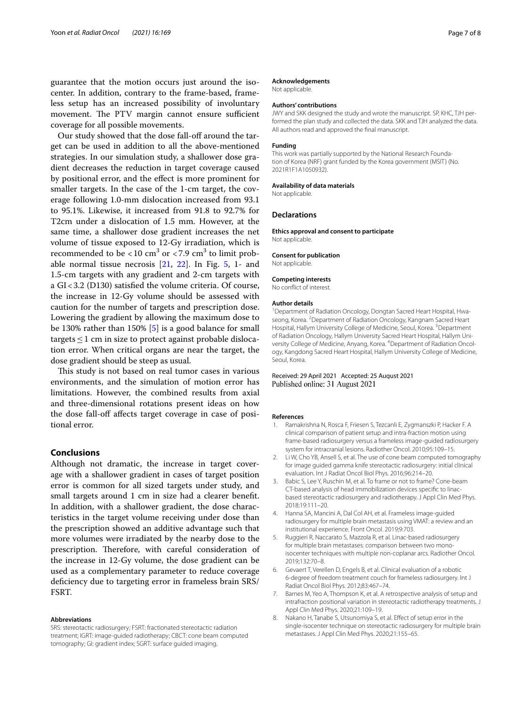guarantee that the motion occurs just around the isocenter. In addition, contrary to the frame-based, frameless setup has an increased possibility of involuntary movement. The PTV margin cannot ensure sufficient coverage for all possible movements.

Our study showed that the dose fall-of around the target can be used in addition to all the above-mentioned strategies. In our simulation study, a shallower dose gradient decreases the reduction in target coverage caused by positional error, and the efect is more prominent for smaller targets. In the case of the 1-cm target, the coverage following 1.0-mm dislocation increased from 93.1 to 95.1%. Likewise, it increased from 91.8 to 92.7% for T2cm under a dislocation of 1.5 mm. However, at the same time, a shallower dose gradient increases the net volume of tissue exposed to 12-Gy irradiation, which is recommended to be  $<$  10 cm<sup>3</sup> or  $<$  7.9 cm<sup>3</sup> to limit probable normal tissue necrosis [\[21](#page-7-10), [22\]](#page-7-11). In Fig. [5](#page-4-0), 1- and 1.5-cm targets with any gradient and 2-cm targets with a GI<3.2 (D130) satisfed the volume criteria. Of course, the increase in 12-Gy volume should be assessed with caution for the number of targets and prescription dose. Lowering the gradient by allowing the maximum dose to be 130% rather than 150% [\[5\]](#page-6-1) is a good balance for small targets  $\leq$  1 cm in size to protect against probable dislocation error. When critical organs are near the target, the dose gradient should be steep as usual.

This study is not based on real tumor cases in various environments, and the simulation of motion error has limitations. However, the combined results from axial and three-dimensional rotations present ideas on how the dose fall-off affects target coverage in case of positional error.

## **Conclusions**

Although not dramatic, the increase in target coverage with a shallower gradient in cases of target position error is common for all sized targets under study, and small targets around 1 cm in size had a clearer benefit. In addition, with a shallower gradient, the dose characteristics in the target volume receiving under dose than the prescription showed an additive advantage such that more volumes were irradiated by the nearby dose to the prescription. Therefore, with careful consideration of the increase in 12-Gy volume, the dose gradient can be used as a complementary parameter to reduce coverage deficiency due to targeting error in frameless brain SRS/ FSRT.

#### **Abbreviations**

SRS: stereotactic radiosurgery; FSRT: fractionated stereotactic radiation treatment; IGRT: image-guided radiotherapy; CBCT: cone beam computed tomography; GI: gradient index; SGRT: surface guided imaging.

#### **Acknowledgements**

Not applicable.

### **Authors' contributions**

JWY and SKK designed the study and wrote the manuscript. SP, KHC, TJH performed the plan study and collected the data. SKK and TJH analyzed the data. All authors read and approved the fnal manuscript.

#### **Funding**

This work was partially supported by the National Research Foundation of Korea (NRF) grant funded by the Korea government (MSIT) (No. 2021R1F1A1050932).

#### **Availability of data materials**

Not applicable.

## **Declarations**

**Ethics approval and consent to participate** Not applicable.

### **Consent for publication**

Not applicable.

## **Competing interests**

No confict of interest.

#### **Author details**

<sup>1</sup> Department of Radiation Oncology, Dongtan Sacred Heart Hospital, Hwaseong, Korea. <sup>2</sup> Department of Radiation Oncology, Kangnam Sacred Heart Hospital, Hallym University College of Medicine, Seoul, Korea. <sup>3</sup> Department of Radiation Oncology, Hallym University Sacred Heart Hospital, Hallym University College of Medicine, Anyang, Korea. <sup>4</sup> Department of Radiation Oncology, Kangdong Sacred Heart Hospital, Hallym University College of Medicine, Seoul, Korea.

Received: 29 April 2021 Accepted: 25 August 2021 Published online: 31 August 2021

#### **References**

- <span id="page-6-0"></span>1. Ramakrishna N, Rosca F, Friesen S, Tezcanli E, Zygmanszki P, Hacker F. A clinical comparison of patient setup and intra-fraction motion using frame-based radiosurgery versus a frameless image-guided radiosurgery system for intracranial lesions. Radiother Oncol. 2010;95:109–15.
- 2. Li W, Cho YB, Ansell S, et al. The use of cone beam computed tomography for image guided gamma knife stereotactic radiosurgery: initial clinical evaluation. Int J Radiat Oncol Biol Phys. 2016;96:214–20.
- <span id="page-6-4"></span>3. Babic S, Lee Y, Ruschin M, et al. To frame or not to frame? Cone-beam CT-based analysis of head immobilization devices specifc to linacbased stereotactic radiosurgery and radiotherapy. J Appl Clin Med Phys. 2018;19:111–20.
- 4. Hanna SA, Mancini A, Dal Col AH, et al. Frameless image-guided radiosurgery for multiple brain metastasis using VMAT: a review and an institutional experience. Front Oncol. 2019;9:703.
- <span id="page-6-1"></span>5. Ruggieri R, Naccarato S, Mazzola R, et al. Linac-based radiosurgery for multiple brain metastases: comparison between two monoisocenter techniques with multiple non-coplanar arcs. Radiother Oncol. 2019;132:70–8.
- <span id="page-6-2"></span>6. Gevaert T, Verellen D, Engels B, et al. Clinical evaluation of a robotic 6-degree of freedom treatment couch for frameless radiosurgery. Int J Radiat Oncol Biol Phys. 2012;83:467–74.
- <span id="page-6-5"></span>7. Barnes M, Yeo A, Thompson K, et al. A retrospective analysis of setup and intrafraction positional variation in stereotactic radiotherapy treatments. J Appl Clin Med Phys. 2020;21:109–19.
- <span id="page-6-3"></span>8. Nakano H, Tanabe S, Utsunomiya S, et al. Efect of setup error in the single-isocenter technique on stereotactic radiosurgery for multiple brain metastases. J Appl Clin Med Phys. 2020;21:155–65.